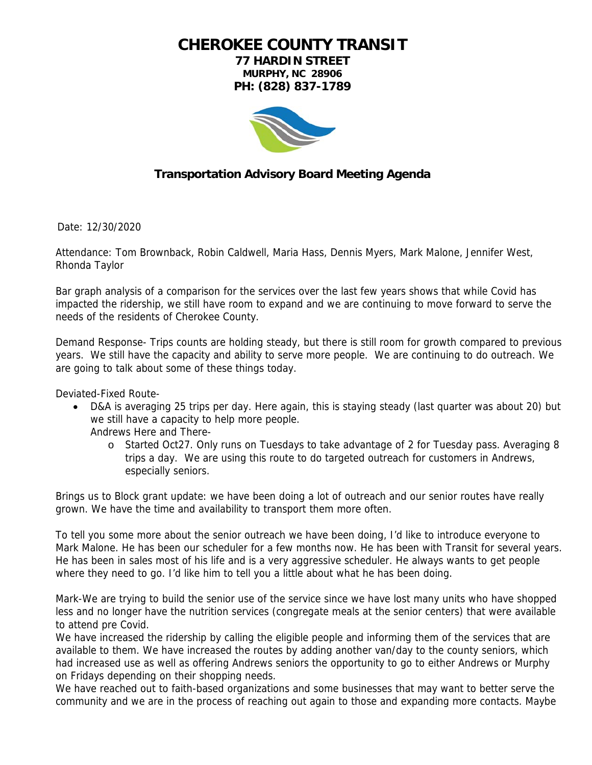**CHEROKEE COUNTY TRANSIT** 

**77 HARDIN STREET MURPHY, NC 28906 PH: (828) 837-1789** 



## **Transportation Advisory Board Meeting Agenda**

Date: 12/30/2020

Attendance: Tom Brownback, Robin Caldwell, Maria Hass, Dennis Myers, Mark Malone, Jennifer West, Rhonda Taylor

Bar graph analysis of a comparison for the services over the last few years shows that while Covid has impacted the ridership, we still have room to expand and we are continuing to move forward to serve the needs of the residents of Cherokee County.

Demand Response- Trips counts are holding steady, but there is still room for growth compared to previous years. We still have the capacity and ability to serve more people. We are continuing to do outreach. We are going to talk about some of these things today.

Deviated-Fixed Route-

 D&A is averaging 25 trips per day. Here again, this is staying steady (last quarter was about 20) but we still have a capacity to help more people.

Andrews Here and There-

o Started Oct27. Only runs on Tuesdays to take advantage of 2 for Tuesday pass. Averaging 8 trips a day. We are using this route to do targeted outreach for customers in Andrews, especially seniors.

Brings us to Block grant update: we have been doing a lot of outreach and our senior routes have really grown. We have the time and availability to transport them more often.

To tell you some more about the senior outreach we have been doing, I'd like to introduce everyone to Mark Malone. He has been our scheduler for a few months now. He has been with Transit for several years. He has been in sales most of his life and is a very aggressive scheduler. He always wants to get people where they need to go. I'd like him to tell you a little about what he has been doing.

Mark-We are trying to build the senior use of the service since we have lost many units who have shopped less and no longer have the nutrition services (congregate meals at the senior centers) that were available to attend pre Covid.

We have increased the ridership by calling the eligible people and informing them of the services that are available to them. We have increased the routes by adding another van/day to the county seniors, which had increased use as well as offering Andrews seniors the opportunity to go to either Andrews or Murphy on Fridays depending on their shopping needs.

We have reached out to faith-based organizations and some businesses that may want to better serve the community and we are in the process of reaching out again to those and expanding more contacts. Maybe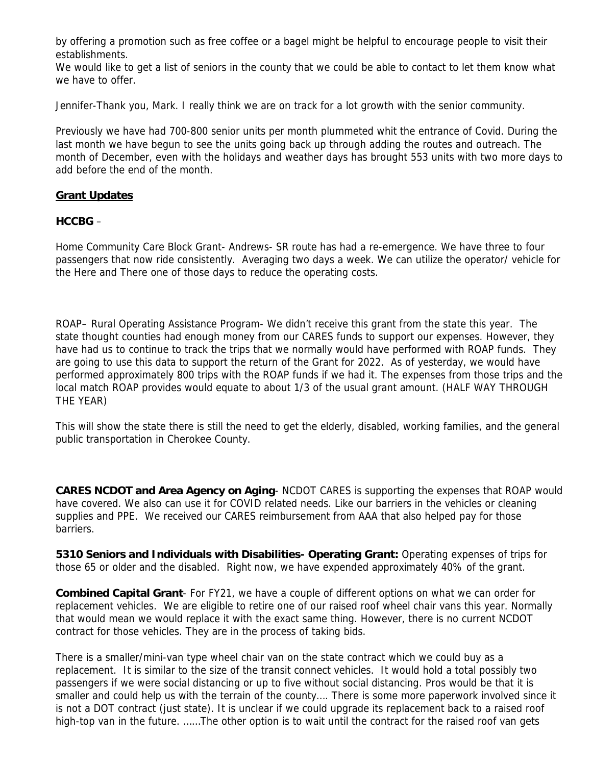by offering a promotion such as free coffee or a bagel might be helpful to encourage people to visit their establishments.

We would like to get a list of seniors in the county that we could be able to contact to let them know what we have to offer.

Jennifer-Thank you, Mark. I really think we are on track for a lot growth with the senior community.

Previously we have had 700-800 senior units per month plummeted whit the entrance of Covid. During the last month we have begun to see the units going back up through adding the routes and outreach. The month of December, even with the holidays and weather days has brought 553 units with two more days to add before the end of the month.

## **Grant Updates**

## **HCCBG** –

Home Community Care Block Grant- Andrews- SR route has had a re-emergence. We have three to four passengers that now ride consistently. Averaging two days a week. We can utilize the operator/ vehicle for the Here and There one of those days to reduce the operating costs.

ROAP– Rural Operating Assistance Program- We didn't receive this grant from the state this year. The state thought counties had enough money from our CARES funds to support our expenses. However, they have had us to continue to track the trips that we normally would have performed with ROAP funds. They are going to use this data to support the return of the Grant for 2022. As of yesterday, we would have performed approximately 800 trips with the ROAP funds if we had it. The expenses from those trips and the local match ROAP provides would equate to about 1/3 of the usual grant amount. (HALF WAY THROUGH THE YEAR)

This will show the state there is still the need to get the elderly, disabled, working families, and the general public transportation in Cherokee County.

**CARES NCDOT and Area Agency on Aging**- NCDOT CARES is supporting the expenses that ROAP would have covered. We also can use it for COVID related needs. Like our barriers in the vehicles or cleaning supplies and PPE. We received our CARES reimbursement from AAA that also helped pay for those barriers.

**5310 Seniors and Individuals with Disabilities- Operating Grant:** Operating expenses of trips for those 65 or older and the disabled. Right now, we have expended approximately 40% of the grant.

**Combined Capital Grant**- For FY21, we have a couple of different options on what we can order for replacement vehicles. We are eligible to retire one of our raised roof wheel chair vans this year. Normally that would mean we would replace it with the exact same thing. However, there is no current NCDOT contract for those vehicles. They are in the process of taking bids.

There is a smaller/mini-van type wheel chair van on the state contract which we could buy as a replacement. It is similar to the size of the transit connect vehicles. It would hold a total possibly two passengers if we were social distancing or up to five without social distancing. Pros would be that it is smaller and could help us with the terrain of the county…. There is some more paperwork involved since it is not a DOT contract (just state). It is unclear if we could upgrade its replacement back to a raised roof high-top van in the future. ......The other option is to wait until the contract for the raised roof van gets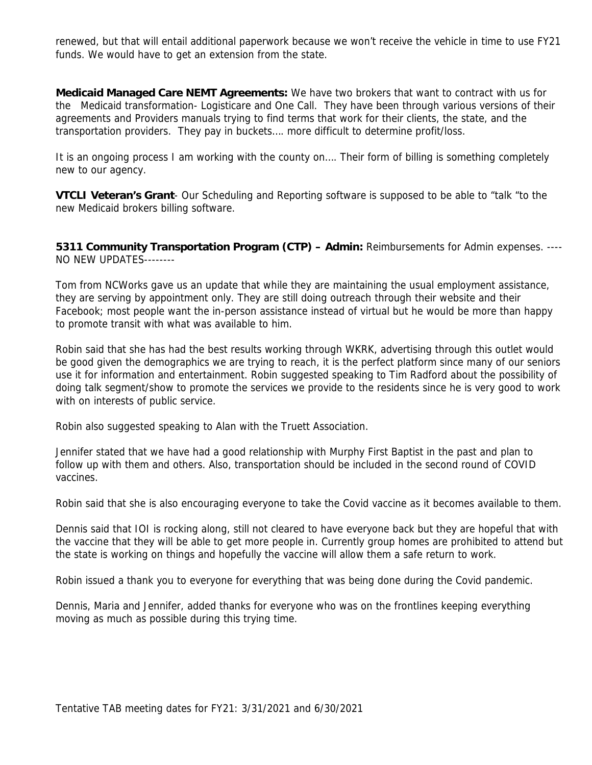renewed, but that will entail additional paperwork because we won't receive the vehicle in time to use FY21 funds. We would have to get an extension from the state.

**Medicaid Managed Care NEMT Agreements:** We have two brokers that want to contract with us for the Medicaid transformation- Logisticare and One Call. They have been through various versions of their agreements and Providers manuals trying to find terms that work for their clients, the state, and the transportation providers. They pay in buckets…. more difficult to determine profit/loss.

It is an ongoing process I am working with the county on…. Their form of billing is something completely new to our agency.

**VTCLI Veteran's Grant**- Our Scheduling and Reporting software is supposed to be able to "talk "to the new Medicaid brokers billing software.

**5311 Community Transportation Program (CTP) – Admin:** Reimbursements for Admin expenses. ---- NO NEW UPDATES--------

Tom from NCWorks gave us an update that while they are maintaining the usual employment assistance, they are serving by appointment only. They are still doing outreach through their website and their Facebook; most people want the in-person assistance instead of virtual but he would be more than happy to promote transit with what was available to him.

Robin said that she has had the best results working through WKRK, advertising through this outlet would be good given the demographics we are trying to reach, it is the perfect platform since many of our seniors use it for information and entertainment. Robin suggested speaking to Tim Radford about the possibility of doing talk segment/show to promote the services we provide to the residents since he is very good to work with on interests of public service.

Robin also suggested speaking to Alan with the Truett Association.

Jennifer stated that we have had a good relationship with Murphy First Baptist in the past and plan to follow up with them and others. Also, transportation should be included in the second round of COVID vaccines.

Robin said that she is also encouraging everyone to take the Covid vaccine as it becomes available to them.

Dennis said that IOI is rocking along, still not cleared to have everyone back but they are hopeful that with the vaccine that they will be able to get more people in. Currently group homes are prohibited to attend but the state is working on things and hopefully the vaccine will allow them a safe return to work.

Robin issued a thank you to everyone for everything that was being done during the Covid pandemic.

Dennis, Maria and Jennifer, added thanks for everyone who was on the frontlines keeping everything moving as much as possible during this trying time.